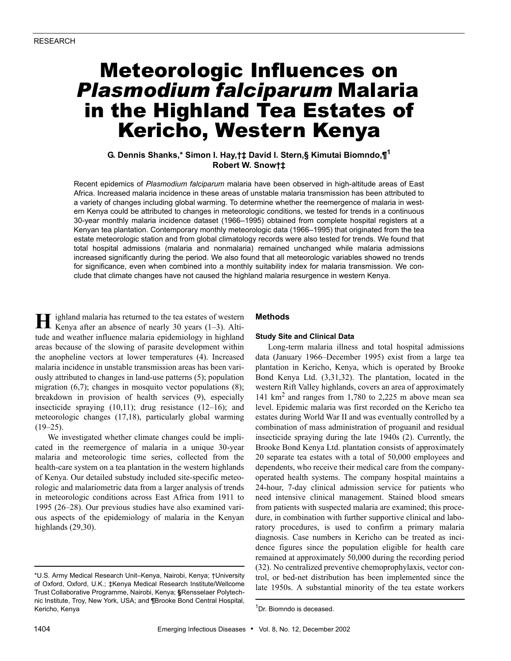# Meteorologic Influences on *Plasmodium falciparum* Malaria in the Highland Tea Estates of Kericho, Western Kenya

## **G. Dennis Shanks,\* Simon I. Hay,†‡ David I. Stern,§ Kimutai Biomndo,¶<sup>1</sup> Robert W. Snow†‡**

Recent epidemics of *Plasmodium falciparum* malaria have been observed in high-altitude areas of East Africa. Increased malaria incidence in these areas of unstable malaria transmission has been attributed to a variety of changes including global warming. To determine whether the reemergence of malaria in western Kenya could be attributed to changes in meteorologic conditions, we tested for trends in a continuous 30-year monthly malaria incidence dataset (1966–1995) obtained from complete hospital registers at a Kenyan tea plantation. Contemporary monthly meteorologic data (1966–1995) that originated from the tea estate meteorologic station and from global climatology records were also tested for trends. We found that total hospital admissions (malaria and nonmalaria) remained unchanged while malaria admissions increased significantly during the period. We also found that all meteorologic variables showed no trends for significance, even when combined into a monthly suitability index for malaria transmission. We conclude that climate changes have not caused the highland malaria resurgence in western Kenya.

ighland malaria has returned to the tea estates of western Kenya after an absence of nearly 30 years (1–3). Altitude and weather influence malaria epidemiology in highland areas because of the slowing of parasite development within the anopheline vectors at lower temperatures (4). Increased malaria incidence in unstable transmission areas has been variously attributed to changes in land-use patterns (5); population migration  $(6,7)$ ; changes in mosquito vector populations  $(8)$ ; breakdown in provision of health services (9), especially insecticide spraying (10,11); drug resistance (12–16); and meteorologic changes (17,18), particularly global warming  $(19-25)$ . **H**

We investigated whether climate changes could be implicated in the reemergence of malaria in a unique 30-year malaria and meteorologic time series, collected from the health-care system on a tea plantation in the western highlands of Kenya. Our detailed substudy included site-specific meteorologic and malariometric data from a larger analysis of trends in meteorologic conditions across East Africa from 1911 to 1995 (26–28). Our previous studies have also examined various aspects of the epidemiology of malaria in the Kenyan highlands (29,30).

## **Methods**

#### **Study Site and Clinical Data**

Long-term malaria illness and total hospital admissions data (January 1966–December 1995) exist from a large tea plantation in Kericho, Kenya, which is operated by Brooke Bond Kenya Ltd. (3,31,32). The plantation, located in the western Rift Valley highlands, covers an area of approximately 141  $km^2$  and ranges from 1,780 to 2,225 m above mean sea level. Epidemic malaria was first recorded on the Kericho tea estates during World War II and was eventually controlled by a combination of mass administration of proguanil and residual insecticide spraying during the late 1940s (2). Currently, the Brooke Bond Kenya Ltd. plantation consists of approximately 20 separate tea estates with a total of 50,000 employees and dependents, who receive their medical care from the companyoperated health systems. The company hospital maintains a 24-hour, 7-day clinical admission service for patients who need intensive clinical management. Stained blood smears from patients with suspected malaria are examined; this procedure, in combination with further supportive clinical and laboratory procedures, is used to confirm a primary malaria diagnosis. Case numbers in Kericho can be treated as incidence figures since the population eligible for health care remained at approximately 50,000 during the recording period (32). No centralized preventive chemoprophylaxis, vector control, or bed-net distribution has been implemented since the late 1950s. A substantial minority of the tea estate workers

<sup>\*</sup>U.S. Army Medical Research Unit–Kenya, Nairobi, Kenya; †University of Oxford, Oxford, U.K.; ‡Kenya Medical Research Institute/Wellcome Trust Collaborative Programme, Nairobi, Kenya; **§**Rensselaer Polytechnic Institute, Troy, New York, USA; and ¶Brooke Bond Central Hospital, Kericho, Kenya

<sup>&</sup>lt;sup>1</sup>Dr. Biomndo is deceased.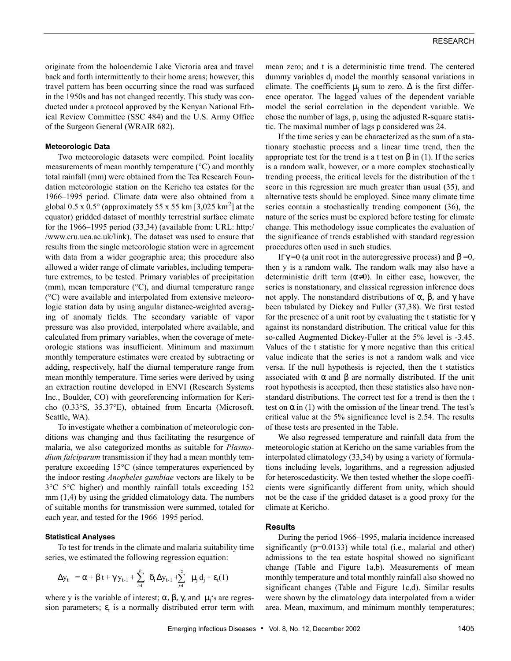originate from the holoendemic Lake Victoria area and travel back and forth intermittently to their home areas; however, this travel pattern has been occurring since the road was surfaced in the 1950s and has not changed recently. This study was conducted under a protocol approved by the Kenyan National Ethical Review Committee (SSC 484) and the U.S. Army Office of the Surgeon General (WRAIR 682).

### **Meteorologic Data**

Two meteorologic datasets were compiled. Point locality measurements of mean monthly temperature (°C) and monthly total rainfall (mm) were obtained from the Tea Research Foundation meteorologic station on the Kericho tea estates for the 1966–1995 period. Climate data were also obtained from a global 0.5 x  $0.5^{\circ}$  (approximately 55 x 55 km [3,025 km<sup>2</sup>] at the equator) gridded dataset of monthly terrestrial surface climate for the 1966–1995 period (33,34) (available from: URL: http:/ /www.cru.uea.ac.uk/link). The dataset was used to ensure that results from the single meteorologic station were in agreement with data from a wider geographic area; this procedure also allowed a wider range of climate variables, including temperature extremes, to be tested. Primary variables of precipitation (mm), mean temperature (°C), and diurnal temperature range (°C) were available and interpolated from extensive meteorologic station data by using angular distance-weighted averaging of anomaly fields. The secondary variable of vapor pressure was also provided, interpolated where available, and calculated from primary variables, when the coverage of meteorologic stations was insufficient. Minimum and maximum monthly temperature estimates were created by subtracting or adding, respectively, half the diurnal temperature range from mean monthly temperature. Time series were derived by using an extraction routine developed in ENVI (Research Systems Inc., Boulder, CO) with georeferencing information for Kericho (0.33°S, 35.37°E), obtained from Encarta (Microsoft, Seattle, WA).

To investigate whether a combination of meteorologic conditions was changing and thus facilitating the resurgence of malaria, we also categorized months as suitable for *Plasmodium falciparum* transmission if they had a mean monthly temperature exceeding 15°C (since temperatures experienced by the indoor resting *Anopheles gambiae* vectors are likely to be 3°C–5°C higher) and monthly rainfall totals exceeding 152 mm (1,4) by using the gridded climatology data. The numbers of suitable months for transmission were summed, totaled for each year, and tested for the 1966–1995 period.

#### **Statistical Analyses**

To test for trends in the climate and malaria suitability time series, we estimated the following regression equation:

$$
\Delta y_t = \alpha + \beta t + \gamma y_{t\text{-}1} + \sum_{\textit{i} = 1}^{\textit{p}} \delta_{\textit{i}} \, \Delta y_{t\text{-}1} + \sum_{\textit{j} = 1}^{\textit{i}2} \mu_{\textit{j}} \, d_{\textit{j}} + \epsilon_t(1)
$$

where y is the variable of interest;  $\alpha$ ,  $\beta$ ,  $\gamma$ , and  $\mu_j$ 's are regression parameters;  $\varepsilon_t$  is a normally distributed error term with mean zero; and t is a deterministic time trend. The centered dummy variables  $d_j$  model the monthly seasonal variations in climate. The coefficients  $\mu_i$  sum to zero.  $\Delta$  is the first difference operator. The lagged values of the dependent variable model the serial correlation in the dependent variable. We chose the number of lags, p, using the adjusted R-square statistic. The maximal number of lags p considered was 24.

If the time series y can be characterized as the sum of a stationary stochastic process and a linear time trend, then the appropriate test for the trend is a t test on  $β$  in (1). If the series is a random walk, however, or a more complex stochastically trending process, the critical levels for the distribution of the t score in this regression are much greater than usual (35), and alternative tests should be employed. Since many climate time series contain a stochastically trending component (36), the nature of the series must be explored before testing for climate change. This methodology issue complicates the evaluation of the significance of trends established with standard regression procedures often used in such studies.

If  $\gamma$  =0 (a unit root in the autoregressive process) and β =0, then y is a random walk. The random walk may also have a deterministic drift term  $(\alpha \neq 0)$ . In either case, however, the series is nonstationary, and classical regression inference does not apply. The nonstandard distributions of  $\alpha$ ,  $\beta$ , and γ have been tabulated by Dickey and Fuller (37,38). We first tested for the presence of a unit root by evaluating the t statistic for  $\gamma$ against its nonstandard distribution. The critical value for this so-called Augmented Dickey-Fuller at the 5% level is -3.45. Values of the t statistic for  $\gamma$  more negative than this critical value indicate that the series is not a random walk and vice versa. If the null hypothesis is rejected, then the t statistics associated with  $\alpha$  and  $\beta$  are normally distributed. If the unit root hypothesis is accepted, then these statistics also have nonstandard distributions. The correct test for a trend is then the t test on  $\alpha$  in (1) with the omission of the linear trend. The test's critical value at the 5% significance level is 2.54. The results of these tests are presented in the Table.

We also regressed temperature and rainfall data from the meteorologic station at Kericho on the same variables from the interpolated climatology (33,34) by using a variety of formulations including levels, logarithms, and a regression adjusted for heteroscedasticity. We then tested whether the slope coefficients were significantly different from unity, which should not be the case if the gridded dataset is a good proxy for the climate at Kericho.

## **Results**

During the period 1966–1995, malaria incidence increased significantly ( $p=0.0133$ ) while total (i.e., malarial and other) admissions to the tea estate hospital showed no significant change (Table and Figure 1a,b). Measurements of mean monthly temperature and total monthly rainfall also showed no significant changes (Table and Figure 1c,d). Similar results were shown by the climatology data interpolated from a wider area. Mean, maximum, and minimum monthly temperatures;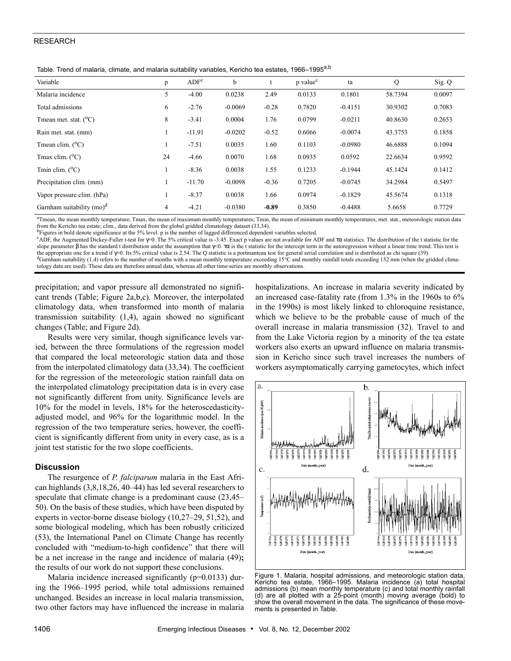## RESEARCH

Table. Trend of malaria, climate, and malaria suitability variables, Kericho tea estates, 1966–1995<sup>a,b</sup>

| Variable                     | p              | ADF <sup>c</sup> | b         |         | p value <sup>c</sup> | ta        | Q       | Sig. Q |
|------------------------------|----------------|------------------|-----------|---------|----------------------|-----------|---------|--------|
| Malaria incidence            | 5              | $-4.00$          | 0.0238    | 2.49    | 0.0133               | 0.1801    | 58.7394 | 0.0097 |
| Total admissions             | 6              | $-2.76$          | $-0.0069$ | $-0.28$ | 0.7820               | $-0.4151$ | 30.9302 | 0.7083 |
| Tmean met. stat. $(^{0}C)$   | 8              | $-3.41$          | 0.0004    | 1.76    | 0.0799               | $-0.0211$ | 40.8630 | 0.2653 |
| Rain met. stat. (mm)         |                | $-11.91$         | $-0.0202$ | $-0.52$ | 0.6066               | $-0.0074$ | 43.3753 | 0.1858 |
| Tmean clim. $(^{0}C)$        |                | $-7.51$          | 0.0035    | 1.60    | 0.1103               | $-0.0980$ | 46.6888 | 0.1094 |
| Tmax clim. $(^{0}C)$         | 24             | $-4.66$          | 0.0070    | 1.68    | 0.0935               | 0.0592    | 22.6634 | 0.9592 |
| Tmin clim. $(^{0}C)$         |                | $-8.36$          | 0.0038    | 1.55    | 0.1233               | $-0.1944$ | 45.1424 | 0.1412 |
| Precipitation clim. (mm)     |                | $-11.70$         | $-0.0098$ | $-0.36$ | 0.7205               | $-0.0745$ | 34.2984 | 0.5497 |
| Vapor pressure clim. (hPa)   |                | $-8.37$          | 0.0038    | 1.66    | 0.0974               | $-0.1829$ | 45.5674 | 0.1318 |
| Garnham suitability $(mo)^d$ | $\overline{4}$ | $-4.21$          | $-0.0380$ | $-0.89$ | 0.3850               | $-0.4488$ | 5.6658  | 0.7729 |

<sup>a</sup>Tmean, the mean monthly temperature; Tmax, the mean of maximum monthly temperatures; Tmin, the mean of minimum monthly temperatures; met. stat., meteorologic station data from the Kericho tea estate; clim., data derived from the global gridded climatology dataset (33,34).<br><sup>b</sup>Figures in bold denote significance at the 5% level. p is the number of lagged differenced dependent variables select

<sup>c</sup>ADF, the Augmented Dickey-Fuller t-test for γ=0. The 5% critical value is -3.45. Exact p values are not available for ADF and τα statistics. The distribution of the t statistic for the slope parameter β has the standard t distribution under the assumption that  $\gamma$ <0. τα is the t statistic for the intercept term in the autoregression without a linear time trend. This test is the appropriate one for a trend if γ=0. Its 5% critical value is 2.54. The Q statistic is a portmanteau test for general serial correlation and is distributed as chi square (39). <sup>d</sup>Garnham suitability (1,4) refers to the number of months with a mean monthly temperature exceeding 15°C and monthly rainfall totals exceeding 152 mm (when the gridded climatology data are used). These data are therefore annual data, whereas all other time-series are monthly observations.

precipitation; and vapor pressure all demonstrated no significant trends (Table; Figure 2a,b,c). Moreover, the interpolated climatology data, when transformed into month of malaria transmission suitability (1,4), again showed no significant changes (Table; and Figure 2d).

Results were very similar, though significance levels varied, between the three formulations of the regression model that compared the local meteorologic station data and those from the interpolated climatology data (33,34). The coefficient for the regression of the meteorologic station rainfall data on the interpolated climatology precipitation data is in every case not significantly different from unity. Significance levels are 10% for the model in levels, 18% for the heteroscedasticityadjusted model, and 96% for the logarithmic model. In the regression of the two temperature series, however, the coefficient is significantly different from unity in every case, as is a joint test statistic for the two slope coefficients.

## **Discussion**

The resurgence of *P. falciparum* malaria in the East African highlands (3,8,18,26, 40–44) has led several researchers to speculate that climate change is a predominant cause (23,45– 50). On the basis of these studies, which have been disputed by experts in vector-borne disease biology (10,27–29, 51,52), and some biological modeling, which has been robustly criticized (53), the International Panel on Climate Change has recently concluded with "medium-to-high confidence" that there will be a net increase in the range and incidence of malaria (49)**;** the results of our work do not support these conclusions.

Malaria incidence increased significantly (p=0.0133) during the 1966–1995 period, while total admissions remained unchanged. Besides an increase in local malaria transmission, two other factors may have influenced the increase in malaria

hospitalizations. An increase in malaria severity indicated by an increased case-fatality rate (from 1.3% in the 1960s to 6% in the 1990s) is most likely linked to chloroquine resistance, which we believe to be the probable cause of much of the overall increase in malaria transmission (32). Travel to and from the Lake Victoria region by a minority of the tea estate workers also exerts an upward influence on malaria transmission in Kericho since such travel increases the numbers of workers asymptomatically carrying gametocytes, which infect



Figure 1. Malaria, hospital admissions, and meteorologic station data, Kericho tea estate, 1966–1995. Malaria incidence (a) total hospital admissions (b) mean monthly temperature (c) and total monthly rainfall (d) are all plotted with a 25-point (month) moving average (bold) to show the overall movement in the data. The significance of these movements is presented in Table.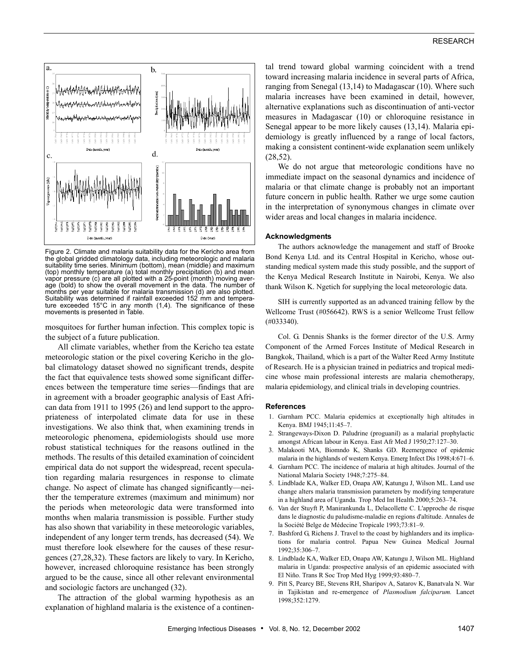

Figure 2. Climate and malaria suitability data for the Kericho area from the global gridded climatology data, including meteorologic and malaria suitability time series. Minimum (bottom), mean (middle) and maximum (top) monthly temperature (a) total monthly precipitation (b) and mean vapor pressure (c) are all plotted with a 25-point (month) moving average (bold) to show the overall movement in the data. The number of months per year suitable for malaria transmission (d) are also plotted. Suitability was determined if rainfall exceeded 152 mm and temperature exceeded 15°C in any month (1,4). The significance of these movements is presented in Table.

mosquitoes for further human infection. This complex topic is the subject of a future publication.

All climate variables, whether from the Kericho tea estate meteorologic station or the pixel covering Kericho in the global climatology dataset showed no significant trends, despite the fact that equivalence tests showed some significant differences between the temperature time series—findings that are in agreement with a broader geographic analysis of East African data from 1911 to 1995 (26) and lend support to the appropriateness of interpolated climate data for use in these investigations. We also think that, when examining trends in meteorologic phenomena, epidemiologists should use more robust statistical techniques for the reasons outlined in the methods. The results of this detailed examination of coincident empirical data do not support the widespread, recent speculation regarding malaria resurgences in response to climate change. No aspect of climate has changed significantly—neither the temperature extremes (maximum and minimum) nor the periods when meteorologic data were transformed into months when malaria transmission is possible. Further study has also shown that variability in these meteorologic variables, independent of any longer term trends, has decreased (54). We must therefore look elsewhere for the causes of these resurgences (27,28,32). These factors are likely to vary. In Kericho, however, increased chloroquine resistance has been strongly argued to be the cause, since all other relevant environmental and sociologic factors are unchanged (32).

The attraction of the global warming hypothesis as an explanation of highland malaria is the existence of a continental trend toward global warming coincident with a trend toward increasing malaria incidence in several parts of Africa, ranging from Senegal (13,14) to Madagascar (10). Where such malaria increases have been examined in detail, however, alternative explanations such as discontinuation of anti-vector measures in Madagascar (10) or chloroquine resistance in Senegal appear to be more likely causes (13,14). Malaria epidemiology is greatly influenced by a range of local factors, making a consistent continent-wide explanation seem unlikely (28,52).

We do not argue that meteorologic conditions have no immediate impact on the seasonal dynamics and incidence of malaria or that climate change is probably not an important future concern in public health. Rather we urge some caution in the interpretation of synonymous changes in climate over wider areas and local changes in malaria incidence.

#### **Acknowledgments**

The authors acknowledge the management and staff of Brooke Bond Kenya Ltd. and its Central Hospital in Kericho, whose outstanding medical system made this study possible, and the support of the Kenya Medical Research Institute in Nairobi, Kenya. We also thank Wilson K. Ngetich for supplying the local meteorologic data.

SIH is currently supported as an advanced training fellow by the Wellcome Trust (#056642). RWS is a senior Wellcome Trust fellow (#033340).

Col. G. Dennis Shanks is the former director of the U.S. Army Component of the Armed Forces Institute of Medical Research in Bangkok, Thailand, which is a part of the Walter Reed Army Institute of Research. He is a physician trained in pediatrics and tropical medicine whose main professional interests are malaria chemotherapy, malaria epidemiology, and clinical trials in developing countries.

#### **References**

- 1. Garnham PCC. Malaria epidemics at exceptionally high altitudes in Kenya. BMJ 1945;11:45–7.
- 2. Strangeways-Dixon D. Paludrine (proguanil) as a malarial prophylactic amongst African labour in Kenya. East Afr Med J 1950;27:127–30.
- 3. Malakooti MA, Biomndo K, Shanks GD. Reemergence of epidemic malaria in the highlands of western Kenya. Emerg Infect Dis 1998;4:671–6.
- 4. Garnham PCC. The incidence of malaria at high altitudes. Journal of the National Malaria Society 1948;7:275–84.
- 5. Lindblade KA, Walker ED, Onapa AW, Katungu J, Wilson ML. Land use change alters malaria transmission parameters by modifying temperature in a highland area of Uganda. Trop Med Int Health 2000;5:263–74.
- 6. Van der Stuyft P, Manirankunda L, Delacollette C. L'approche de risque dans le diagnostic du paludisme-maladie en regions d'altitude. Annales de la Société Belge de Médecine Tropicale 1993;73:81–9.
- 7. Bashford G, Richens J. Travel to the coast by highlanders and its implications for malaria control. Papua New Guinea Medical Journal 1992;35:306–7.
- 8. Lindblade KA, Walker ED, Onapa AW, Katungu J, Wilson ML. Highland malaria in Uganda: prospective analysis of an epidemic associated with El Niño. Trans R Soc Trop Med Hyg 1999;93:480–7.
- 9. Pitt S, Pearcy BE, Stevens RH, Sharipov A, Satarov K, Banatvala N. War in Tajikistan and re-emergence of *Plasmodium falciparum.* Lancet 1998;352:1279.